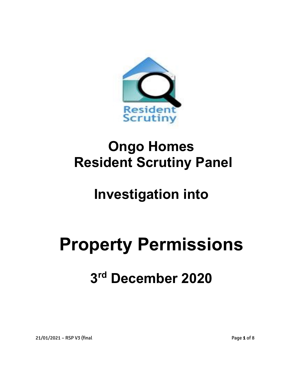

## **Ongo Homes Resident Scrutiny Panel**

## **Investigation into**

# **Property Permissions**

## **3 rd December 2020**

21/01/2021 – RSP V3 (final Page **1** of 8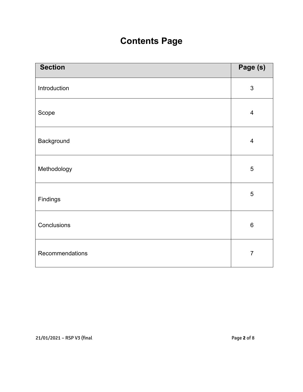### **Contents Page**

| <b>Section</b>  | Page (s)       |
|-----------------|----------------|
| Introduction    | $\sqrt{3}$     |
| Scope           | $\overline{4}$ |
| Background      | $\overline{4}$ |
| Methodology     | $\overline{5}$ |
| Findings        | $\overline{5}$ |
| Conclusions     | $\,6$          |
| Recommendations | $\overline{7}$ |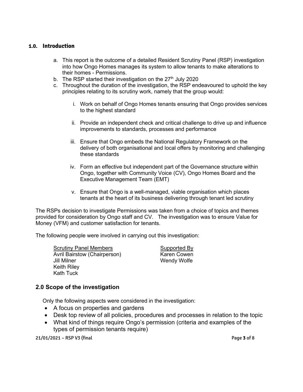#### **1.0. Introduction**

- a. This report is the outcome of a detailed Resident Scrutiny Panel (RSP) investigation into how Ongo Homes manages its system to allow tenants to make alterations to their homes - Permissions.
- b. The RSP started their investigation on the  $27<sup>th</sup>$  July 2020
- c. Throughout the duration of the investigation, the RSP endeavoured to uphold the key principles relating to its scrutiny work, namely that the group would:
	- i. Work on behalf of Ongo Homes tenants ensuring that Ongo provides services to the highest standard
	- ii. Provide an independent check and critical challenge to drive up and influence improvements to standards, processes and performance
	- iii. Ensure that Ongo embeds the National Regulatory Framework on the delivery of both organisational and local offers by monitoring and challenging these standards
	- iv. Form an effective but independent part of the Governance structure within Ongo, together with Community Voice (CV), Ongo Homes Board and the Executive Management Team (EMT)
	- v. Ensure that Ongo is a well-managed, viable organisation which places tenants at the heart of its business delivering through tenant led scrutiny

The RSPs decision to investigate Permissions was taken from a choice of topics and themes provided for consideration by Ongo staff and CV. The investigation was to ensure Value for Money (VFM) and customer satisfaction for tenants.

The following people were involved in carrying out this investigation:

Scrutiny Panel Members Supported By Avril Bairstow (Chairperson) Jill Milner Wendy Wolfe Keith Riley Kath Tuck

#### **2.0 Scope of the investigation**

Only the following aspects were considered in the investigation:

- A focus on properties and gardens
- Desk top review of all policies, procedures and processes in relation to the topic
- What kind of things require Ongo's permission (criteria and examples of the types of permission tenants require)

21/01/2021 – RSP V3 (final Page **3** of 8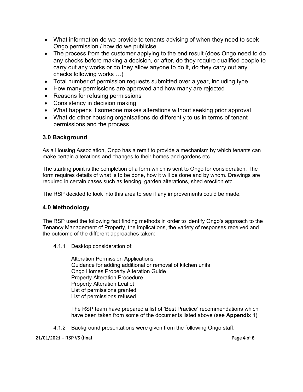- What information do we provide to tenants advising of when they need to seek Ongo permission / how do we publicise
- The process from the customer applying to the end result (does Ongo need to do any checks before making a decision, or after, do they require qualified people to carry out any works or do they allow anyone to do it, do they carry out any checks following works …)
- Total number of permission requests submitted over a year, including type
- How many permissions are approved and how many are rejected
- Reasons for refusing permissions
- Consistency in decision making
- What happens if someone makes alterations without seeking prior approval
- What do other housing organisations do differently to us in terms of tenant permissions and the process

#### **3.0 Background**

As a Housing Association, Ongo has a remit to provide a mechanism by which tenants can make certain alterations and changes to their homes and gardens etc.

The starting point is the completion of a form which is sent to Ongo for consideration. The form requires details of what is to be done, how it will be done and by whom. Drawings are required in certain cases such as fencing, garden alterations, shed erection etc.

The RSP decided to look into this area to see if any improvements could be made.

#### **4.0 Methodology**

The RSP used the following fact finding methods in order to identify Ongo's approach to the Tenancy Management of Property, the implications, the variety of responses received and the outcome of the different approaches taken:

4.1.1 Desktop consideration of:

Alteration Permission Applications Guidance for adding additional or removal of kitchen units Ongo Homes Property Alteration Guide Property Alteration Procedure Property Alteration Leaflet List of permissions granted List of permissions refused

The RSP team have prepared a list of 'Best Practice' recommendations which have been taken from some of the documents listed above (see **Appendix 1**)

4.1.2 Background presentations were given from the following Ongo staff.

21/01/2021 – RSP V3 (final Page **4** of 8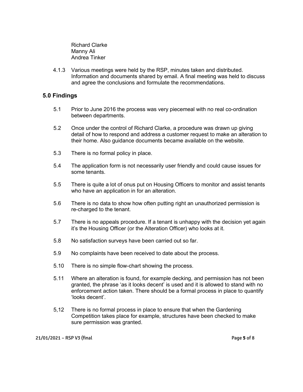Richard Clarke Manny Ali Andrea Tinker

4.1.3 Various meetings were held by the RSP, minutes taken and distributed. Information and documents shared by email. A final meeting was held to discuss and agree the conclusions and formulate the recommendations.

#### **5.0 Findings**

- 5.1 Prior to June 2016 the process was very piecemeal with no real co-ordination between departments.
- 5.2 Once under the control of Richard Clarke, a procedure was drawn up giving detail of how to respond and address a customer request to make an alteration to their home. Also guidance documents became available on the website.
- 5.3 There is no formal policy in place.
- 5.4 The application form is not necessarily user friendly and could cause issues for some tenants.
- 5.5 There is quite a lot of onus put on Housing Officers to monitor and assist tenants who have an application in for an alteration.
- 5.6 There is no data to show how often putting right an unauthorized permission is re-charged to the tenant.
- 5.7 There is no appeals procedure. If a tenant is unhappy with the decision yet again it's the Housing Officer (or the Alteration Officer) who looks at it.
- 5.8 No satisfaction surveys have been carried out so far.
- 5.9 No complaints have been received to date about the process.
- 5.10 There is no simple flow-chart showing the process.
- 5.11 Where an alteration is found, for example decking, and permission has not been granted, the phrase 'as it looks decent' is used and it is allowed to stand with no enforcement action taken. There should be a formal process in place to quantify 'looks decent'.
- 5,12 There is no formal process in place to ensure that when the Gardening Competition takes place for example, structures have been checked to make sure permission was granted.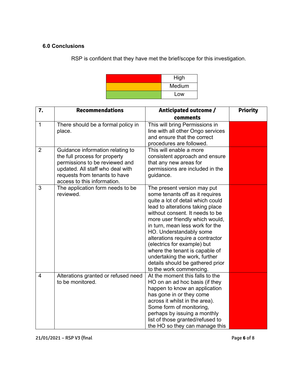#### **6.0 Conclusions**

RSP is confident that they have met the brief/scope for this investigation.

| High   |
|--------|
| Medium |
| Low    |

| 7.             | <b>Recommendations</b>                                                                                                                                                                                  | Anticipated outcome /                                                                                                                                                                                                                                                                                                                                                                                                                                                            | <b>Priority</b> |
|----------------|---------------------------------------------------------------------------------------------------------------------------------------------------------------------------------------------------------|----------------------------------------------------------------------------------------------------------------------------------------------------------------------------------------------------------------------------------------------------------------------------------------------------------------------------------------------------------------------------------------------------------------------------------------------------------------------------------|-----------------|
|                |                                                                                                                                                                                                         | comments                                                                                                                                                                                                                                                                                                                                                                                                                                                                         |                 |
| $\mathbf 1$    | There should be a formal policy in<br>place.                                                                                                                                                            | This will bring Permissions in<br>line with all other Ongo services<br>and ensure that the correct<br>procedures are followed.                                                                                                                                                                                                                                                                                                                                                   |                 |
| $\overline{2}$ | Guidance information relating to<br>the full process for property<br>permissions to be reviewed and<br>updated. All staff who deal with<br>requests from tenants to have<br>access to this information. | This will enable a more<br>consistent approach and ensure<br>that any new areas for<br>permissions are included in the<br>guidance.                                                                                                                                                                                                                                                                                                                                              |                 |
| 3              | The application form needs to be<br>reviewed.                                                                                                                                                           | The present version may put<br>some tenants off as it requires<br>quite a lot of detail which could<br>lead to alterations taking place<br>without consent. It needs to be<br>more user friendly which would,<br>in turn, mean less work for the<br>HO. Understandably some<br>alterations require a contractor<br>(electrics for example) but<br>where the tenant is capable of<br>undertaking the work, further<br>details should be gathered prior<br>to the work commencing. |                 |
| $\overline{4}$ | Alterations granted or refused need<br>to be monitored.                                                                                                                                                 | At the moment this falls to the<br>HO on an ad hoc basis (if they<br>happen to know an application<br>has gone in or they come<br>across it whilst in the area).<br>Some form of monitoring,<br>perhaps by issuing a monthly<br>list of those granted/refused to<br>the HO so they can manage this                                                                                                                                                                               |                 |

21/01/2021 – RSP V3 (final Page **6** of 8